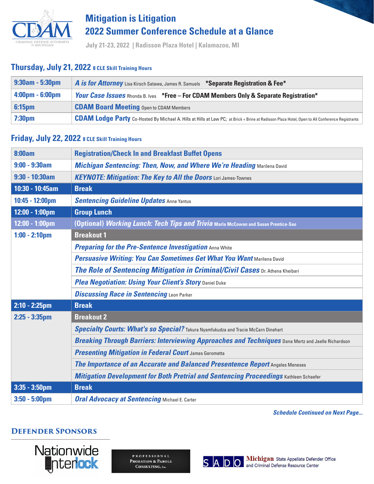

# **Mitigation is Litigation 2022 Summer Conference Schedule at a Glance**

**July 21-23, 2022 | Radisson Plaza Hotel | Kalamazoo, MI**

#### **Thursday, July 21, 2022 8 CLE Skill Training Hours**

| $9:30$ am - 5:30pm                | A is for Attorney Lisa Kirsch Satawa, James R. Samuels *Separate Registration & Fee*                                                                   |
|-----------------------------------|--------------------------------------------------------------------------------------------------------------------------------------------------------|
| $4:00 \text{pm} - 6:00 \text{pm}$ | <b><i>Your Case Issues</i></b> Rhonda B. Ives *Free – For CDAM Members Only & Separate Registration*                                                   |
| 6:15 <sub>pm</sub>                | <b>CDAM Board Meeting Open to CDAM Members</b>                                                                                                         |
| $ 7:30$ pm                        | <b>CDAM Lodge Party</b> Co-Hosted By Michael A. Hills at Hills at Law PC; at Brick + Brine at Radisson Plaza Hotel, Open to All Conference Registrants |

### **Friday, July 22, 2022 8 CLE Skill Training Hours**

| 8:00am                   | <b>Registration/Check In and Breakfast Buffet Opens</b>                                                   |
|--------------------------|-----------------------------------------------------------------------------------------------------------|
| $9:00 - 9:30$ am         | <b>Michigan Sentencing: Then, Now, and Where We're Heading Marilena David</b>                             |
| $9:30 - 10:30$ am        | <b>KEYNOTE: Mitigation: The Key to All the Doors Lori James-Townes</b>                                    |
| 10:30 - 10:45am          | <b>Break</b>                                                                                              |
| 10:45 - 12:00pm          | <b>Sentencing Guideline Updates Anne Yantus</b>                                                           |
| 12:00 - 1:00pm           | <b>Group Lunch</b>                                                                                        |
| $12:00 - 1:00 \text{pm}$ | (Optional) <i>Working Lunch: Tech Tips and Trivia</i> Marla McCowan and Susan Prentice-Sao                |
| $1:00 - 2:10 \text{pm}$  | <b>Breakout 1</b>                                                                                         |
|                          | <b>Preparing for the Pre-Sentence Investigation Anna White</b>                                            |
|                          | Persuasive Writing: You Can Sometimes Get What You Want Marilena David                                    |
|                          | The Role of Sentencing Mitigation in Criminal/Civil Cases Dr. Athena Kheibari                             |
|                          | Plea Negotiation: Using Your Client's Story Daniel Duke                                                   |
|                          | <b>Discussing Race in Sentencing Leon Parker</b>                                                          |
| $2:10 - 2:25$ pm         | <b>Break</b>                                                                                              |
| $2:25 - 3:35$ pm         | <b>Breakout 2</b>                                                                                         |
|                          | Specialty Courts: What's so Special? Takura Nyamfukudza and Tracie McCarn Dinehart                        |
|                          | <b>Breaking Through Barriers: Interviewing Approaches and Techniques</b> Dana Mertz and Jaelle Richardson |
|                          | <b>Presenting Mitigation in Federal Court James Gerometta</b>                                             |
|                          | The Importance of an Accurate and Balanced Presentence Report Angeles Meneses                             |
|                          | <b>Mitigation Development for Both Pretrial and Sentencing Proceedings Kathleen Schaefer</b>              |
| $3:35 - 3:50$ pm         | <b>Break</b>                                                                                              |
| $3:50 - 5:00 \text{pm}$  | <b>Oral Advocacy at Sentencing Michael E. Carter</b>                                                      |

*Schedule Continued on Next Page...*

### **Defender Sponsors**



**PROFESSIONAL** PROBATION & PAROLE CONSULTING, Inc.



S A D O Michigan State Appellate Defender Office